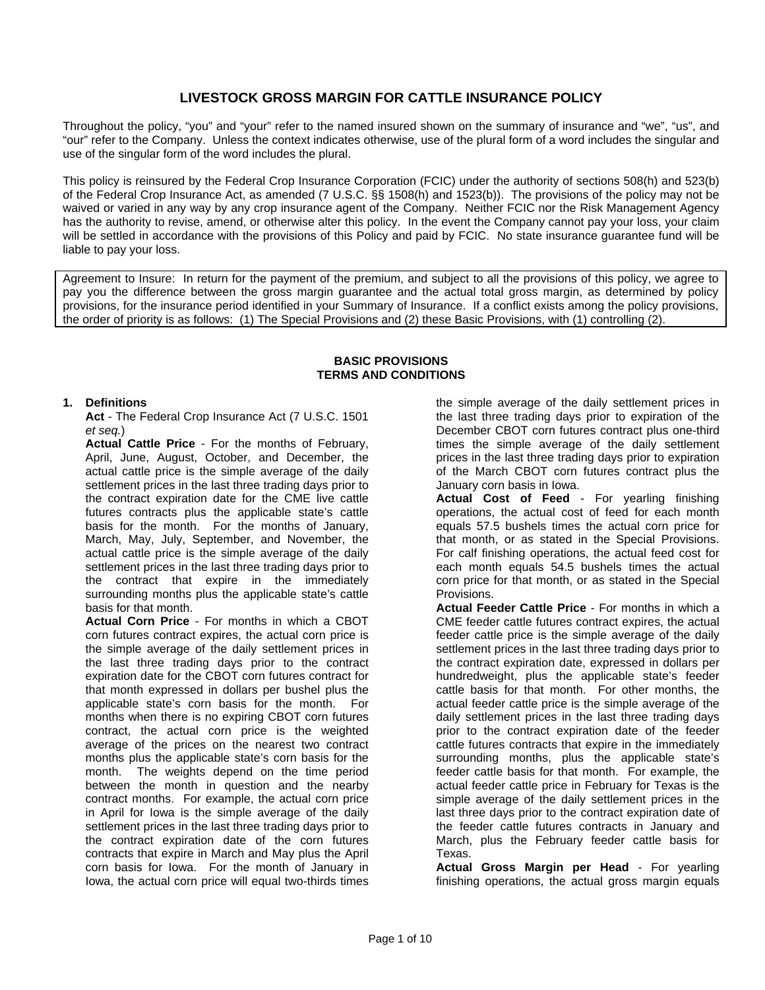# **LIVESTOCK GROSS MARGIN FOR CATTLE INSURANCE POLICY**

Throughout the policy, "you" and "your" refer to the named insured shown on the summary of insurance and "we", "us", and "our" refer to the Company. Unless the context indicates otherwise, use of the plural form of a word includes the singular and use of the singular form of the word includes the plural.

This policy is reinsured by the Federal Crop Insurance Corporation (FCIC) under the authority of sections 508(h) and 523(b) of the Federal Crop Insurance Act, as amended (7 U.S.C. §§ 1508(h) and 1523(b)). The provisions of the policy may not be waived or varied in any way by any crop insurance agent of the Company. Neither FCIC nor the Risk Management Agency has the authority to revise, amend, or otherwise alter this policy. In the event the Company cannot pay your loss, your claim will be settled in accordance with the provisions of this Policy and paid by FCIC. No state insurance guarantee fund will be liable to pay your loss.

Agreement to Insure: In return for the payment of the premium, and subject to all the provisions of this policy, we agree to pay you the difference between the gross margin guarantee and the actual total gross margin, as determined by policy provisions, for the insurance period identified in your Summary of Insurance. If a conflict exists among the policy provisions, the order of priority is as follows: (1) The Special Provisions and (2) these Basic Provisions, with (1) controlling (2).

#### **BASIC PROVISIONS TERMS AND CONDITIONS**

# **1. Definitions**

**Act** - The Federal Crop Insurance Act (7 U.S.C. 1501 *et seq.*)

**Actual Cattle Price** - For the months of February, April, June, August, October, and December, the actual cattle price is the simple average of the daily settlement prices in the last three trading days prior to the contract expiration date for the CME live cattle futures contracts plus the applicable state's cattle basis for the month. For the months of January, March, May, July, September, and November, the actual cattle price is the simple average of the daily settlement prices in the last three trading days prior to the contract that expire in the immediately surrounding months plus the applicable state's cattle basis for that month.

**Actual Corn Price** - For months in which a CBOT corn futures contract expires, the actual corn price is the simple average of the daily settlement prices in the last three trading days prior to the contract expiration date for the CBOT corn futures contract for that month expressed in dollars per bushel plus the applicable state's corn basis for the month. For months when there is no expiring CBOT corn futures contract, the actual corn price is the weighted average of the prices on the nearest two contract months plus the applicable state's corn basis for the month. The weights depend on the time period between the month in question and the nearby contract months. For example, the actual corn price in April for Iowa is the simple average of the daily settlement prices in the last three trading days prior to the contract expiration date of the corn futures contracts that expire in March and May plus the April corn basis for Iowa. For the month of January in Iowa, the actual corn price will equal two-thirds times

the simple average of the daily settlement prices in the last three trading days prior to expiration of the December CBOT corn futures contract plus one-third times the simple average of the daily settlement prices in the last three trading days prior to expiration of the March CBOT corn futures contract plus the January corn basis in Iowa.

that month, or as stated in the Special Provisions. **Actual Cost of Feed** - For yearling finishing operations, the actual cost of feed for each month equals 57.5 bushels times the actual corn price for For calf finishing operations, the actual feed cost for each month equals 54.5 bushels times the actual corn price for that month, or as stated in the Special Provisions.

**Actual Feeder Cattle Price** - For months in which a CME feeder cattle futures contract expires, the actual feeder cattle price is the simple average of the daily settlement prices in the last three trading days prior to the contract expiration date, expressed in dollars per hundredweight, plus the applicable state's feeder cattle basis for that month. For other months, the actual feeder cattle price is the simple average of the daily settlement prices in the last three trading days prior to the contract expiration date of the feeder cattle futures contracts that expire in the immediately surrounding months, plus the applicable state's feeder cattle basis for that month. For example, the actual feeder cattle price in February for Texas is the simple average of the daily settlement prices in the last three days prior to the contract expiration date of the feeder cattle futures contracts in January and March, plus the February feeder cattle basis for Texas.

**Actual Gross Margin per Head** - For yearling finishing operations, the actual gross margin equals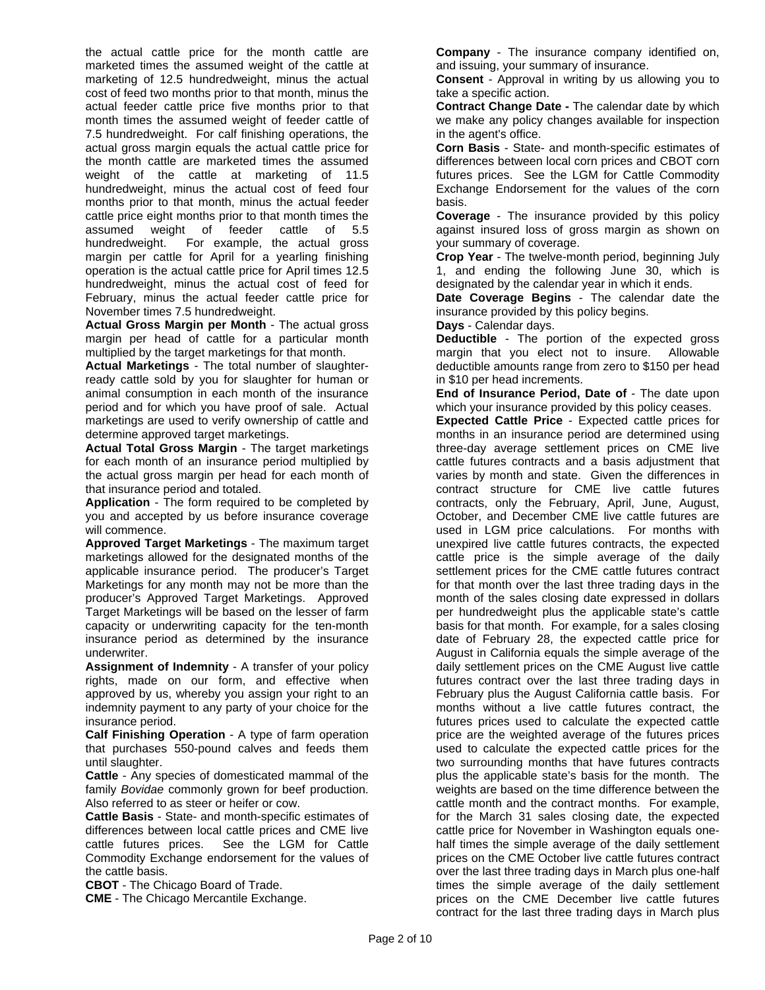the actual cattle price for the month cattle are marketed times the assumed weight of the cattle at marketing of 12.5 hundredweight, minus the actual cost of feed two months prior to that month, minus the actual feeder cattle price five months prior to that month times the assumed weight of feeder cattle of 7.5 hundredweight. For calf finishing operations, the actual gross margin equals the actual cattle price for the month cattle are marketed times the assumed weight of the cattle at marketing of 11.5 hundredweight, minus the actual cost of feed four months prior to that month, minus the actual feeder cattle price eight months prior to that month times the assumed weight of feeder cattle of 5.5 hundredweight. For example, the actual gross margin per cattle for April for a yearling finishing operation is the actual cattle price for April times 12.5 hundredweight, minus the actual cost of feed for February, minus the actual feeder cattle price for November times 7.5 hundredweight.

**Actual Gross Margin per Month** - The actual gross margin per head of cattle for a particular month multiplied by the target marketings for that month.

**Actual Marketings** - The total number of slaughterready cattle sold by you for slaughter for human or animal consumption in each month of the insurance period and for which you have proof of sale. Actual marketings are used to verify ownership of cattle and determine approved target marketings.

**Actual Total Gross Margin** - The target marketings for each month of an insurance period multiplied by the actual gross margin per head for each month of that insurance period and totaled.

**Application** - The form required to be completed by you and accepted by us before insurance coverage will commence.

**Approved Target Marketings** - The maximum target marketings allowed for the designated months of the applicable insurance period. The producer's Target Marketings for any month may not be more than the producer's Approved Target Marketings. Approved Target Marketings will be based on the lesser of farm capacity or underwriting capacity for the ten-month insurance period as determined by the insurance underwriter.

**Assignment of Indemnity** - A transfer of your policy rights, made on our form, and effective when approved by us, whereby you assign your right to an indemnity payment to any party of your choice for the insurance period.

**Calf Finishing Operation** - A type of farm operation that purchases 550-pound calves and feeds them until slaughter.

**Cattle** - Any species of domesticated mammal of the family *Bovidae* commonly grown for beef production. Also referred to as steer or heifer or cow.

**Cattle Basis** - State- and month-specific estimates of differences between local cattle prices and CME live cattle futures prices. See the LGM for Cattle Commodity Exchange endorsement for the values of the cattle basis.

**CBOT** - The Chicago Board of Trade.

**CME** - The Chicago Mercantile Exchange.

**Company** - The insurance company identified on, and issuing, your summary of insurance.

**Consent** - Approval in writing by us allowing you to take a specific action.

**Contract Change Date -** The calendar date by which we make any policy changes available for inspection in the agent's office.

**Corn Basis** - State- and month-specific estimates of differences between local corn prices and CBOT corn futures prices. See the LGM for Cattle Commodity Exchange Endorsement for the values of the corn basis.

**Coverage** - The insurance provided by this policy against insured loss of gross margin as shown on your summary of coverage.

**Crop Year** - The twelve-month period, beginning July 1, and ending the following June 30, which is designated by the calendar year in which it ends.

**Date Coverage Begins** - The calendar date the insurance provided by this policy begins.

**Days** - Calendar days.

**Deductible** - The portion of the expected gross margin that you elect not to insure. Allowable deductible amounts range from zero to \$150 per head in \$10 per head increments.

**End of Insurance Period, Date of** - The date upon which your insurance provided by this policy ceases.

**Expected Cattle Price** - Expected cattle prices for months in an insurance period are determined using three-day average settlement prices on CME live cattle futures contracts and a basis adjustment that varies by month and state. Given the differences in contract structure for CME live cattle futures contracts, only the February, April, June, August, October, and December CME live cattle futures are used in LGM price calculations. For months with unexpired live cattle futures contracts, the expected cattle price is the simple average of the daily settlement prices for the CME cattle futures contract for that month over the last three trading days in the month of the sales closing date expressed in dollars per hundredweight plus the applicable state's cattle basis for that month. For example, for a sales closing date of February 28, the expected cattle price for August in California equals the simple average of the daily settlement prices on the CME August live cattle futures contract over the last three trading days in February plus the August California cattle basis. For months without a live cattle futures contract, the futures prices used to calculate the expected cattle price are the weighted average of the futures prices used to calculate the expected cattle prices for the two surrounding months that have futures contracts plus the applicable state's basis for the month. The weights are based on the time difference between the cattle month and the contract months. For example, for the March 31 sales closing date, the expected cattle price for November in Washington equals onehalf times the simple average of the daily settlement prices on the CME October live cattle futures contract over the last three trading days in March plus one-half times the simple average of the daily settlement prices on the CME December live cattle futures contract for the last three trading days in March plus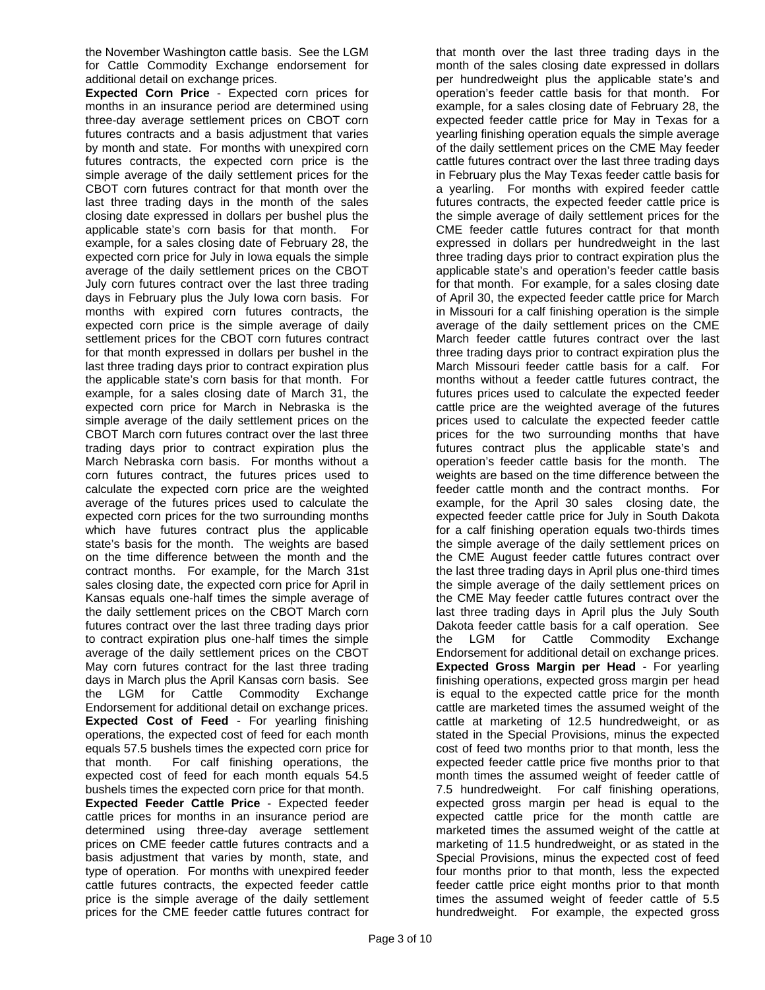the November Washington cattle basis. See the LGM for Cattle Commodity Exchange endorsement for additional detail on exchange prices.

 basis adjustment that varies by month, state, and **Expected Corn Price** - Expected corn prices for months in an insurance period are determined using three-day average settlement prices on CBOT corn futures contracts and a basis adjustment that varies by month and state. For months with unexpired corn futures contracts, the expected corn price is the simple average of the daily settlement prices for the CBOT corn futures contract for that month over the last three trading days in the month of the sales closing date expressed in dollars per bushel plus the applicable state's corn basis for that month. For example, for a sales closing date of February 28, the expected corn price for July in Iowa equals the simple average of the daily settlement prices on the CBOT July corn futures contract over the last three trading days in February plus the July Iowa corn basis. For months with expired corn futures contracts, the expected corn price is the simple average of daily settlement prices for the CBOT corn futures contract for that month expressed in dollars per bushel in the last three trading days prior to contract expiration plus the applicable state's corn basis for that month. For example, for a sales closing date of March 31, the expected corn price for March in Nebraska is the simple average of the daily settlement prices on the CBOT March corn futures contract over the last three trading days prior to contract expiration plus the March Nebraska corn basis. For months without a corn futures contract, the futures prices used to calculate the expected corn price are the weighted average of the futures prices used to calculate the expected corn prices for the two surrounding months which have futures contract plus the applicable state's basis for the month. The weights are based on the time difference between the month and the contract months. For example, for the March 31st sales closing date, the expected corn price for April in Kansas equals one-half times the simple average of the daily settlement prices on the CBOT March corn futures contract over the last three trading days prior to contract expiration plus one-half times the simple average of the daily settlement prices on the CBOT May corn futures contract for the last three trading days in March plus the April Kansas corn basis. See the LGM for Cattle Commodity Exchange Endorsement for additional detail on exchange prices. **Expected Cost of Feed** - For yearling finishing operations, the expected cost of feed for each month equals 57.5 bushels times the expected corn price for that month. For calf finishing operations, the expected cost of feed for each month equals 54.5 bushels times the expected corn price for that month. **Expected Feeder Cattle Price** - Expected feeder cattle prices for months in an insurance period are determined using three-day average settlement prices on CME feeder cattle futures contracts and a type of operation. For months with unexpired feeder cattle futures contracts, the expected feeder cattle price is the simple average of the daily settlement prices for the CME feeder cattle futures contract for

that month over the last three trading days in the month of the sales closing date expressed in dollars per hundredweight plus the applicable state's and operation's feeder cattle basis for that month. For example, for a sales closing date of February 28, the expected feeder cattle price for May in Texas for a yearling finishing operation equals the simple average of the daily settlement prices on the CME May feeder cattle futures contract over the last three trading days in February plus the May Texas feeder cattle basis for a yearling. For months with expired feeder cattle futures contracts, the expected feeder cattle price is the simple average of daily settlement prices for the CME feeder cattle futures contract for that month expressed in dollars per hundredweight in the last three trading days prior to contract expiration plus the applicable state's and operation's feeder cattle basis for that month. For example, for a sales closing date of April 30, the expected feeder cattle price for March in Missouri for a calf finishing operation is the simple average of the daily settlement prices on the CME March feeder cattle futures contract over the last three trading days prior to contract expiration plus the March Missouri feeder cattle basis for a calf. For months without a feeder cattle futures contract, the futures prices used to calculate the expected feeder cattle price are the weighted average of the futures prices used to calculate the expected feeder cattle prices for the two surrounding months that have futures contract plus the applicable state's and operation's feeder cattle basis for the month. The weights are based on the time difference between the feeder cattle month and the contract months. For example, for the April 30 sales closing date, the expected feeder cattle price for July in South Dakota for a calf finishing operation equals two-thirds times the simple average of the daily settlement prices on the CME August feeder cattle futures contract over the last three trading days in April plus one-third times the simple average of the daily settlement prices on the CME May feeder cattle futures contract over the last three trading days in April plus the July South Dakota feeder cattle basis for a calf operation. See the LGM for Cattle Commodity Exchange Endorsement for additional detail on exchange prices. **Expected Gross Margin per Head** - For yearling finishing operations, expected gross margin per head is equal to the expected cattle price for the month cattle are marketed times the assumed weight of the cattle at marketing of 12.5 hundredweight, or as stated in the Special Provisions, minus the expected cost of feed two months prior to that month, less the expected feeder cattle price five months prior to that month times the assumed weight of feeder cattle of 7.5 hundredweight. For calf finishing operations, expected gross margin per head is equal to the expected cattle price for the month cattle are marketed times the assumed weight of the cattle at marketing of 11.5 hundredweight, or as stated in the Special Provisions, minus the expected cost of feed four months prior to that month, less the expected feeder cattle price eight months prior to that month times the assumed weight of feeder cattle of 5.5 hundredweight. For example, the expected gross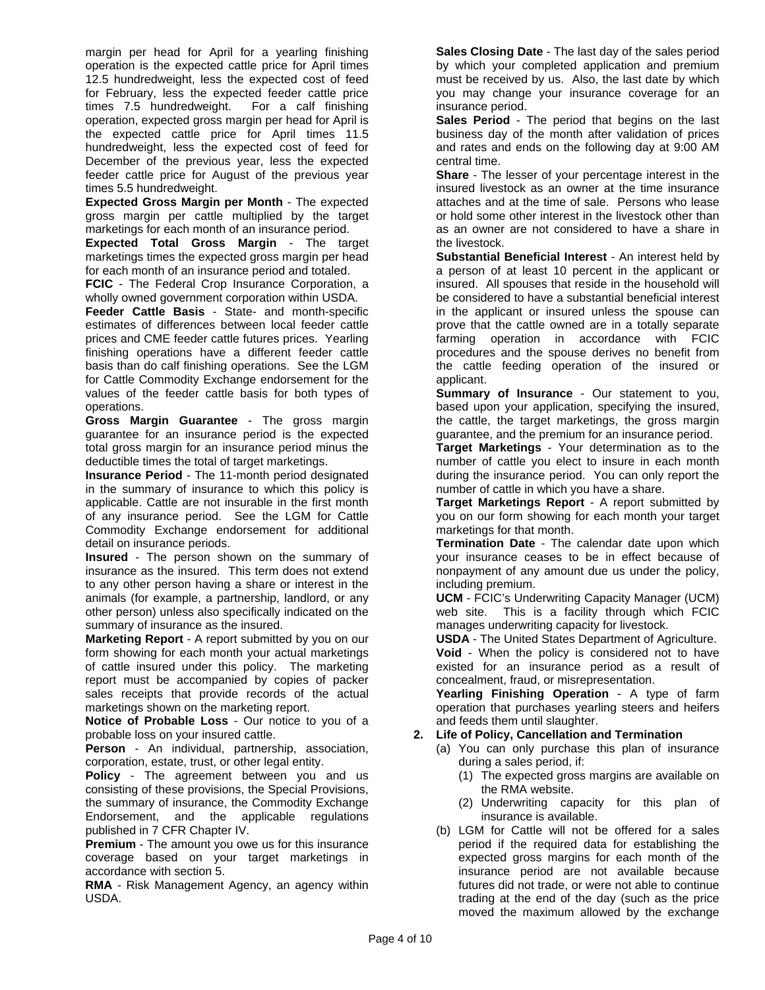margin per head for April for a yearling finishing **Sales Closing Date** - The last day of the sales period operation is the expected cattle price for April times by which your completed application and premium 12.5 hundredweight, less the expected cost of feed must be received by us. Also, the last date by which for February, less the expected feeder cattle price you may change your insurance coverage for an times 7.5 hundredweight. For a calf finishing insurance period. operation, expected gross margin per head for April is **Sales Period** - The period that begins on the last the expected cattle price for April times 11.5 business day of the month after validation of prices hundredweight, less the expected cost of feed for and rates and ends on the following day at 9:00 AM December of the previous year, less the expected central time. feeder cattle price for August of the previous year **Share** - The lesser of your percentage interest in the times 5.5 hundredweight. insured livestock as an owner at the time insurance

**Expected Gross Margin per Month** - The expected attaches and at the time of sale. Persons who lease gross margin per cattle multiplied by the target or hold some other interest in the livestock other than<br>marketings for each month of an insurance period. The same over are not considered to have a share in marketings for each month of an insurance period.

**Expected Total Gross Margin - The target the livestock.** marketings times the expected gross margin per head **Substantial Beneficial Interest** - An interest held by for each month of an insurance period and totaled. **a** person of at least 10 percent in the applicant or

**FCIC** - The Federal Crop Insurance Corporation, a insured. All spouses that reside in the household will wholly owned government corporation within USDA. be considered to have a substantial beneficial interest

**Feeder Cattle Basis** - State- and month-specific in the applicant or insured unless the spouse can estimates of differences between local feeder cattle **interprove prove that the cattle owned** are in a totally separate prices and CME feeder cattle futures prices. Yearling farming operation in accordance with FCIC finishing operations have a different feeder cattle **procedures** and the spouse derives no benefit from basis than do calf finishing operations. See the LGM be cattle feeding operation of the insured or for Cattle Commodity Exchange endorsement for the applicant. values of the feeder cattle basis for both types of **Summary of Insurance** - Our statement to you, operations. based upon your application, specifying the insured,

**Gross Margin Guarantee** - The gross margin **the cattle, the target marketings, the gross margin** guarantee for an insurance period is the expected guarantee, and the premium for an insurance period. total gross margin for an insurance period minus the **Target Marketings** - Your determination as to the deductible times the total of target marketings. The number of cattle you elect to insure in each month

**Insurance Period** - The 11-month period designated during the insurance period. You can only report the in the summary of insurance to which this policy is number of cattle in which you have a share. applicable. Cattle are not insurable in the first month **Target Marketings Report** - A report submitted by of any insurance period. See the LGM for Cattle you on our form showing for each month your target Commodity Exchange endorsement for additional marketings for that month. detail on insurance periods. **Termination Date** - The calendar date upon which

**Insured** - The person shown on the summary of your insurance ceases to be in effect because of insurance as the insured. This term does not extend nonpayment of any amount due us under the policy, to any other person having a share or interest in the including premium.<br>
animals (for example, a partnership, landlord, or any **UCM** - FCIC's Unde other person) unless also specifically indicated on the web site. This is a facility through which FCIC summary of insurance as the insured. The manages underwriting capacity for livestock.

**Marketing Report** - A report submitted by you on our **USDA** - The United States Department of Agriculture. form showing for each month your actual marketings<br>
of cattle insured under this policy. The marketing<br> **Void** - When the policy is considered not to have<br>
of cattle insured under this policy. The marketing<br> **Void** - When of cattle insured under this policy. The marketing report must be accompanied by copies of packer concealment, fraud, or misrepresentation.<br>
sales receipts that provide records of the actual **Yearling Finishing Operation** - A ty marketings shown on the marketing report.  $\qquad \qquad \qquad$  operation that purchases yearling steers and heifers

**Notice of Probable Loss** - Our notice to you of a and feeds them until slaughter. probable loss on your insured cattle. **2. Life of Policy, Cancellation and Termination** 

**Person** - An individual, partnership, association, (a) You can only purchase this plan of insurance corporation, estate, trust, or other legal entity. The matching a sales period, if:

consisting of these provisions, the Special Provisions, the RMA website. the summary of insurance, the Commodity Exchange (2) Underwriting capacity for this plan of Endorsement, and the applicable regulations insurance is available. published in 7 CFR Chapter IV. (b) LGM for Cattle will not be offered for a sales

**Premium** - The amount you owe us for this insurance **period** if the required data for establishing the coverage based on your target marketings in expected gross margins for each month of the accordance with section 5. insurance period are not available because

**RMA** - Risk Management Agency, an agency within futures did not trade, or were not able to continue USDA. trading at the end of the day (such as the price

prove that the cattle owned are in a totally separate

**UCM** - FCIC's Underwriting Capacity Manager (UCM)

Yearling Finishing Operation - A type of farm

- 
- **Policy** The agreement between you and us (1) The expected gross margins are available on
	-
	- moved the maximum allowed by the exchange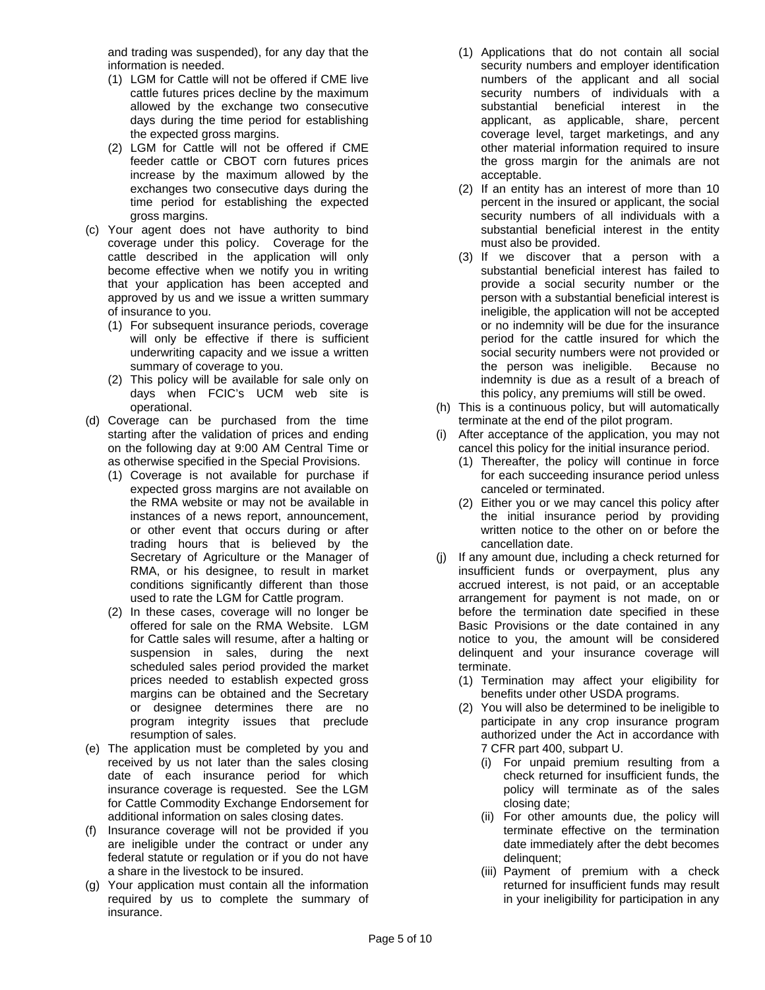and trading was suspended), for any day that the information is needed.

- (1) LGM for Cattle will not be offered if CME live cattle futures prices decline by the maximum allowed by the exchange two consecutive days during the time period for establishing the expected gross margins.
- (2) LGM for Cattle will not be offered if CME feeder cattle or CBOT corn futures prices increase by the maximum allowed by the exchanges two consecutive days during the time period for establishing the expected gross margins.
- (c) Your agent does not have authority to bind coverage under this policy. Coverage for the cattle described in the application will only become effective when we notify you in writing that your application has been accepted and approved by us and we issue a written summary of insurance to you.
	- (1) For subsequent insurance periods, coverage will only be effective if there is sufficient underwriting capacity and we issue a written summary of coverage to you.
	- (2) This policy will be available for sale only on days when FCIC's UCM web site is operational.
- (d) Coverage can be purchased from the time starting after the validation of prices and ending on the following day at 9:00 AM Central Time or as otherwise specified in the Special Provisions.
	- (1) Coverage is not available for purchase if expected gross margins are not available on the RMA website or may not be available in instances of a news report, announcement, or other event that occurs during or after trading hours that is believed by the Secretary of Agriculture or the Manager of RMA, or his designee, to result in market conditions significantly different than those used to rate the LGM for Cattle program.
	- (2) In these cases, coverage will no longer be offered for sale on the RMA Website. LGM for Cattle sales will resume, after a halting or suspension in sales, during the next scheduled sales period provided the market prices needed to establish expected gross margins can be obtained and the Secretary or designee determines there are no program integrity issues that preclude resumption of sales.
- date of each insurance period for which (e) The application must be completed by you and received by us not later than the sales closing insurance coverage is requested. See the LGM for Cattle Commodity Exchange Endorsement for additional information on sales closing dates.
- (f) Insurance coverage will not be provided if you are ineligible under the contract or under any federal statute or regulation or if you do not have a share in the livestock to be insured.
- (g) Your application must contain all the information required by us to complete the summary of insurance.
- (1) Applications that do not contain all social security numbers and employer identification numbers of the applicant and all social security numbers of individuals with a substantial beneficial interest in the applicant, as applicable, share, percent coverage level, target marketings, and any other material information required to insure the gross margin for the animals are not acceptable.
- (2) If an entity has an interest of more than 10 percent in the insured or applicant, the social security numbers of all individuals with a substantial beneficial interest in the entity must also be provided.
- (3) If we discover that a person with a substantial beneficial interest has failed to provide a social security number or the person with a substantial beneficial interest is ineligible, the application will not be accepted or no indemnity will be due for the insurance period for the cattle insured for which the social security numbers were not provided or the person was ineligible. Because no indemnity is due as a result of a breach of this policy, any premiums will still be owed.
- (h) This is a continuous policy, but will automatically terminate at the end of the pilot program.
- (i) After acceptance of the application, you may not cancel this policy for the initial insurance period.
	- (1) Thereafter, the policy will continue in force for each succeeding insurance period unless canceled or terminated.
	- (2) Either you or we may cancel this policy after the initial insurance period by providing written notice to the other on or before the cancellation date.
- (j) If any amount due, including a check returned for insufficient funds or overpayment, plus any accrued interest, is not paid, or an acceptable arrangement for payment is not made, on or before the termination date specified in these Basic Provisions or the date contained in any notice to you, the amount will be considered delinquent and your insurance coverage will terminate.
	- (1) Termination may affect your eligibility for benefits under other USDA programs.
	- (2) You will also be determined to be ineligible to participate in any crop insurance program authorized under the Act in accordance with 7 CFR part 400, subpart U.
		- (i) For unpaid premium resulting from a check returned for insufficient funds, the policy will terminate as of the sales closing date;
		- (ii) For other amounts due, the policy will terminate effective on the termination date immediately after the debt becomes delinquent;
		- (iii) Payment of premium with a check returned for insufficient funds may result in your ineligibility for participation in any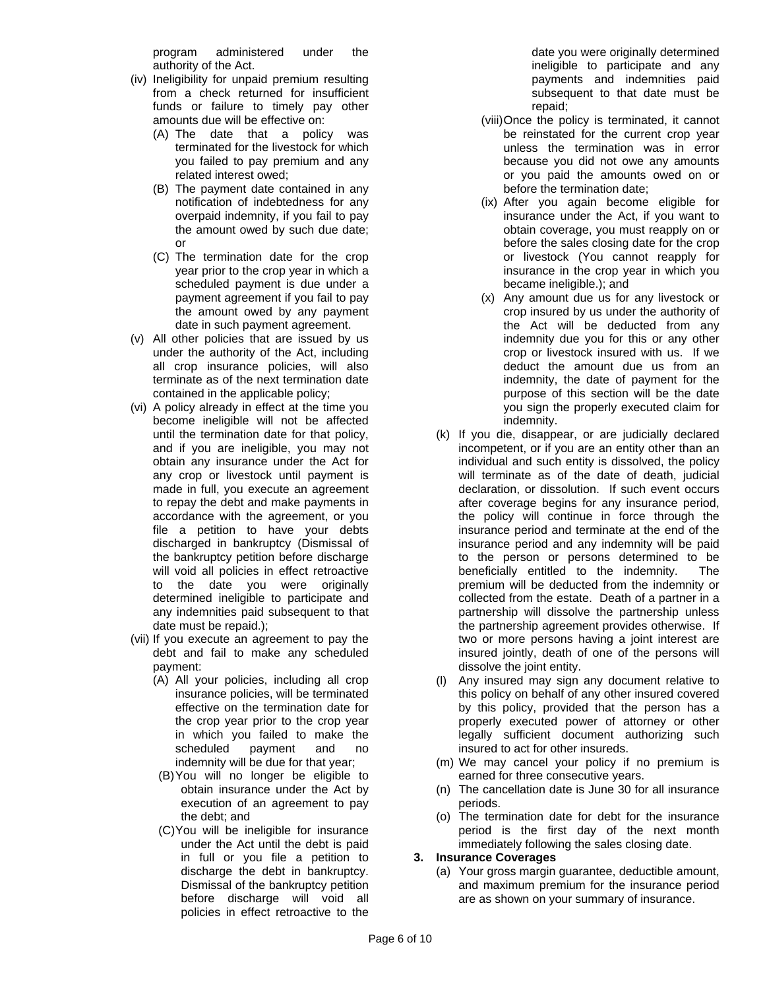program administered under the authority of the Act.

- (iv) Ineligibility for unpaid premium resulting from a check returned for insufficient funds or failure to timely pay other amounts due will be effective on:
	- (A) The date that a policy was terminated for the livestock for which you failed to pay premium and any related interest owed;
	- (B) The payment date contained in any notification of indebtedness for any overpaid indemnity, if you fail to pay the amount owed by such due date; or
	- (C) The termination date for the crop year prior to the crop year in which a scheduled payment is due under a payment agreement if you fail to pay the amount owed by any payment date in such payment agreement.
- (v) All other policies that are issued by us under the authority of the Act, including all crop insurance policies, will also terminate as of the next termination date contained in the applicable policy;
- (vi) A policy already in effect at the time you become ineligible will not be affected until the termination date for that policy, and if you are ineligible, you may not obtain any insurance under the Act for any crop or livestock until payment is made in full, you execute an agreement to repay the debt and make payments in accordance with the agreement, or you file a petition to have your debts discharged in bankruptcy (Dismissal of the bankruptcy petition before discharge will void all policies in effect retroactive to the date you were originally determined ineligible to participate and any indemnities paid subsequent to that date must be repaid.);
- (vii) If you execute an agreement to pay the debt and fail to make any scheduled payment:
	- (A) All your policies, including all crop insurance policies, will be terminated effective on the termination date for the crop year prior to the crop year in which you failed to make the scheduled payment and no indemnity will be due for that year;
	- (B)You will no longer be eligible to obtain insurance under the Act by execution of an agreement to pay the debt; and
	- (C)You will be ineligible for insurance under the Act until the debt is paid in full or you file a petition to discharge the debt in bankruptcy. Dismissal of the bankruptcy petition before discharge will void all policies in effect retroactive to the

date you were originally determined ineligible to participate and any payments and indemnities paid subsequent to that date must be repaid;

- (viii)Once the policy is terminated, it cannot be reinstated for the current crop year unless the termination was in error because you did not owe any amounts or you paid the amounts owed on or before the termination date;
- (ix) After you again become eligible for insurance under the Act, if you want to obtain coverage, you must reapply on or before the sales closing date for the crop or livestock (You cannot reapply for insurance in the crop year in which you became ineligible.); and
- (x) Any amount due us for any livestock or crop insured by us under the authority of the Act will be deducted from any indemnity due you for this or any other crop or livestock insured with us. If we deduct the amount due us from an indemnity, the date of payment for the purpose of this section will be the date you sign the properly executed claim for indemnity.
- (k) If you die, disappear, or are judicially declared incompetent, or if you are an entity other than an individual and such entity is dissolved, the policy will terminate as of the date of death, judicial declaration, or dissolution. If such event occurs after coverage begins for any insurance period, the policy will continue in force through the insurance period and terminate at the end of the insurance period and any indemnity will be paid to the person or persons determined to be beneficially entitled to the indemnity. The premium will be deducted from the indemnity or collected from the estate. Death of a partner in a partnership will dissolve the partnership unless the partnership agreement provides otherwise. If two or more persons having a joint interest are insured jointly, death of one of the persons will dissolve the joint entity.
- (l) Any insured may sign any document relative to this policy on behalf of any other insured covered by this policy, provided that the person has a properly executed power of attorney or other legally sufficient document authorizing such insured to act for other insureds.
- (m) We may cancel your policy if no premium is earned for three consecutive years.
- (n) The cancellation date is June 30 for all insurance periods.
- (o) The termination date for debt for the insurance period is the first day of the next month immediately following the sales closing date.

### **3. Insurance Coverages**

(a) Your gross margin guarantee, deductible amount, and maximum premium for the insurance period are as shown on your summary of insurance.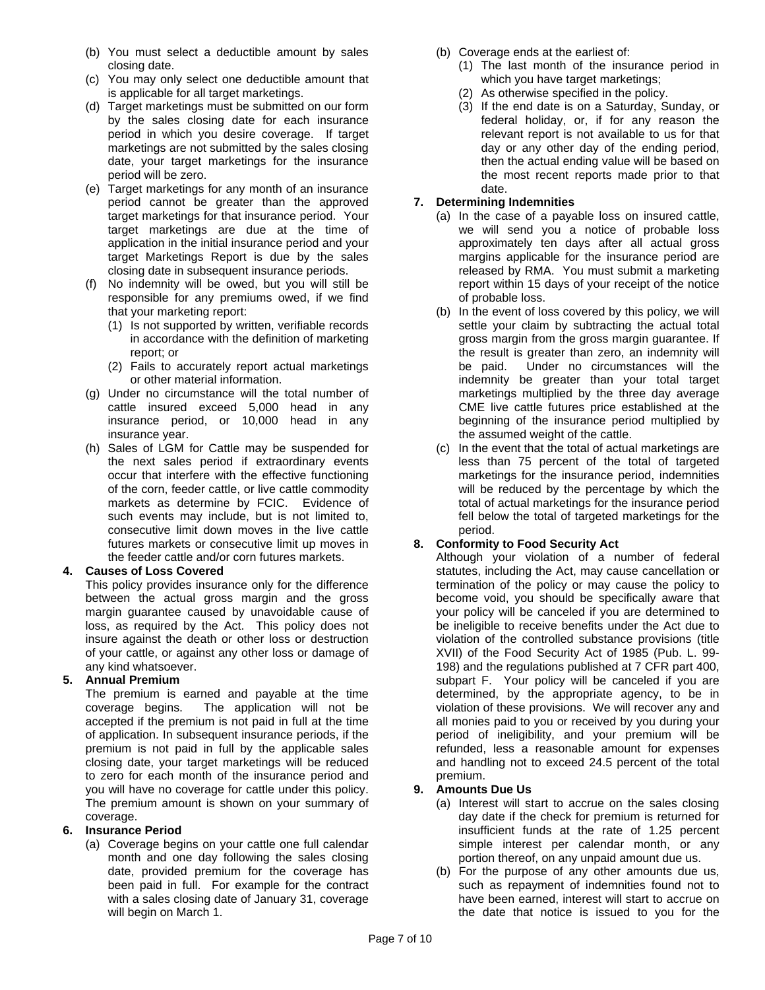- (b) You must select a deductible amount by sales closing date.
- (c) You may only select one deductible amount that is applicable for all target marketings.
- (d) Target marketings must be submitted on our form by the sales closing date for each insurance period in which you desire coverage. If target marketings are not submitted by the sales closing date, your target marketings for the insurance period will be zero.
- (e) Target marketings for any month of an insurance period cannot be greater than the approved target marketings for that insurance period. Your target marketings are due at the time of application in the initial insurance period and your target Marketings Report is due by the sales closing date in subsequent insurance periods.
- responsible for any premiums owed, if we find (f) No indemnity will be owed, but you will still be that your marketing report:
	- (1) Is not supported by written, verifiable records in accordance with the definition of marketing report; or
	- (2) Fails to accurately report actual marketings or other material information.
- (g) Under no circumstance will the total number of cattle insured exceed 5,000 head in any insurance period, or 10,000 head in any insurance year.
- (h) Sales of LGM for Cattle may be suspended for the next sales period if extraordinary events occur that interfere with the effective functioning of the corn, feeder cattle, or live cattle commodity markets as determine by FCIC. Evidence of such events may include, but is not limited to, consecutive limit down moves in the live cattle futures markets or consecutive limit up moves in the feeder cattle and/or corn futures markets.

# **4. Causes of Loss Covered**

This policy provides insurance only for the difference between the actual gross margin and the gross margin guarantee caused by unavoidable cause of loss, as required by the Act. This policy does not insure against the death or other loss or destruction of your cattle, or against any other loss or damage of any kind whatsoever.

# **5. Annual Premium**

The premium is earned and payable at the time coverage begins. The application will not be accepted if the premium is not paid in full at the time of application. In subsequent insurance periods, if the premium is not paid in full by the applicable sales closing date, your target marketings will be reduced to zero for each month of the insurance period and you will have no coverage for cattle under this policy. The premium amount is shown on your summary of coverage.

# **6. Insurance Period**

(a) Coverage begins on your cattle one full calendar month and one day following the sales closing date, provided premium for the coverage has been paid in full. For example for the contract with a sales closing date of January 31, coverage will begin on March 1.

- (b) Coverage ends at the earliest of:
	- (1) The last month of the insurance period in which you have target marketings;
	- (2) As otherwise specified in the policy.
	- (3) If the end date is on a Saturday, Sunday, or federal holiday, or, if for any reason the relevant report is not available to us for that day or any other day of the ending period, then the actual ending value will be based on the most recent reports made prior to that date.

# **7. Determining Indemnities**

- (a) In the case of a payable loss on insured cattle, we will send you a notice of probable loss approximately ten days after all actual gross margins applicable for the insurance period are released by RMA. You must submit a marketing report within 15 days of your receipt of the notice of probable loss.
- (b) In the event of loss covered by this policy, we will settle your claim by subtracting the actual total gross margin from the gross margin guarantee. If the result is greater than zero, an indemnity will be paid. Under no circumstances will the indemnity be greater than your total target marketings multiplied by the three day average CME live cattle futures price established at the beginning of the insurance period multiplied by the assumed weight of the cattle.
- (c) In the event that the total of actual marketings are less than 75 percent of the total of targeted marketings for the insurance period, indemnities will be reduced by the percentage by which the total of actual marketings for the insurance period fell below the total of targeted marketings for the period.

# **8. Conformity to Food Security Act**

Although your violation of a number of federal statutes, including the Act, may cause cancellation or termination of the policy or may cause the policy to become void, you should be specifically aware that your policy will be canceled if you are determined to be ineligible to receive benefits under the Act due to violation of the controlled substance provisions (title XVII) of the Food Security Act of 1985 (Pub. L. 99- 198) and the regulations published at 7 CFR part 400, subpart F. Your policy will be canceled if you are determined, by the appropriate agency, to be in violation of these provisions. We will recover any and all monies paid to you or received by you during your period of ineligibility, and your premium will be refunded, less a reasonable amount for expenses and handling not to exceed 24.5 percent of the total premium.

# **9. Amounts Due Us**

- (a) Interest will start to accrue on the sales closing day date if the check for premium is returned for insufficient funds at the rate of 1.25 percent simple interest per calendar month, or any portion thereof, on any unpaid amount due us.
- (b) For the purpose of any other amounts due us, such as repayment of indemnities found not to have been earned, interest will start to accrue on the date that notice is issued to you for the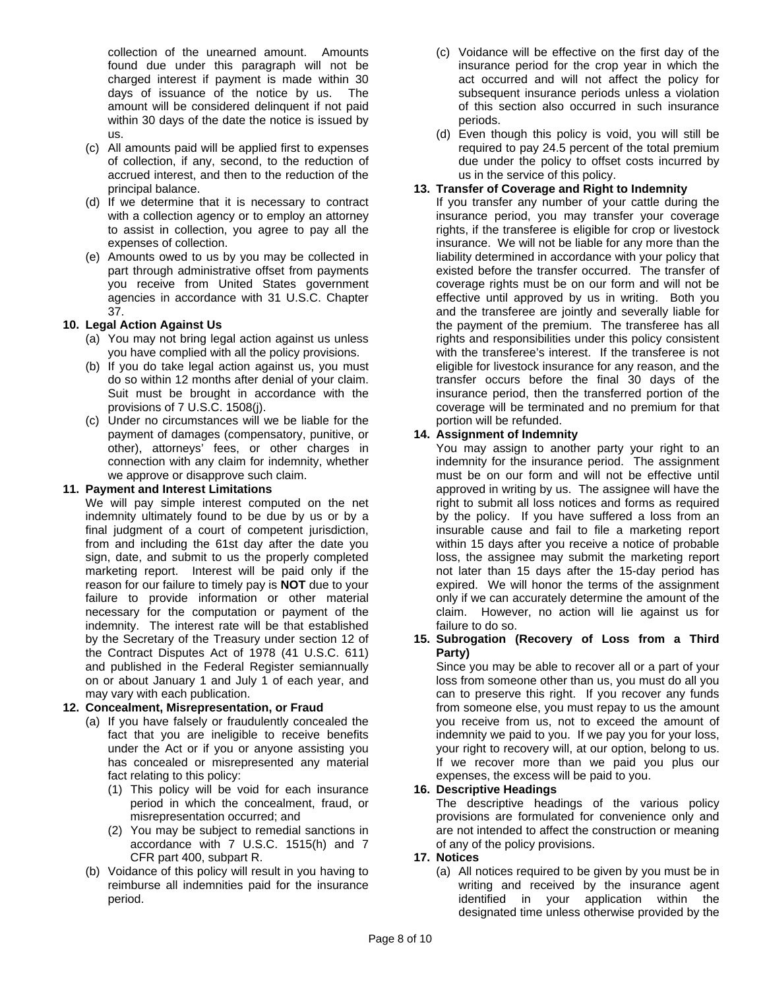collection of the unearned amount. Amounts found due under this paragraph will not be charged interest if payment is made within 30 days of issuance of the notice by us. The amount will be considered delinquent if not paid within 30 days of the date the notice is issued by us.

- (c) All amounts paid will be applied first to expenses of collection, if any, second, to the reduction of accrued interest, and then to the reduction of the principal balance.
- (d) If we determine that it is necessary to contract with a collection agency or to employ an attorney to assist in collection, you agree to pay all the expenses of collection.
- (e) Amounts owed to us by you may be collected in part through administrative offset from payments you receive from United States government agencies in accordance with 31 U.S.C. Chapter 37.

# **10. Legal Action Against Us**

- (a) You may not bring legal action against us unless you have complied with all the policy provisions.
- do so within 12 months after denial of your claim. (b) If you do take legal action against us, you must Suit must be brought in accordance with the provisions of 7 U.S.C. 1508(j).
- (c) Under no circumstances will we be liable for the payment of damages (compensatory, punitive, or other), attorneys' fees, or other charges in connection with any claim for indemnity, whether we approve or disapprove such claim.

# **11. Payment and Interest Limitations**

We will pay simple interest computed on the net indemnity ultimately found to be due by us or by a final judgment of a court of competent jurisdiction, from and including the 61st day after the date you sign, date, and submit to us the properly completed marketing report. Interest will be paid only if the reason for our failure to timely pay is **NOT** due to your failure to provide information or other material necessary for the computation or payment of the indemnity. The interest rate will be that established by the Secretary of the Treasury under section 12 of the Contract Disputes Act of 1978 (41 U.S.C. 611) and published in the Federal Register semiannually on or about January 1 and July 1 of each year, and may vary with each publication.

# **12. Concealment, Misrepresentation, or Fraud**

- (a) If you have falsely or fraudulently concealed the fact that you are ineligible to receive benefits under the Act or if you or anyone assisting you has concealed or misrepresented any material fact relating to this policy:
	- (1) This policy will be void for each insurance period in which the concealment, fraud, or misrepresentation occurred; and
	- (2) You may be subject to remedial sanctions in accordance with 7 U.S.C. 1515(h) and 7 CFR part 400, subpart R.
- (b) Voidance of this policy will result in you having to reimburse all indemnities paid for the insurance period.
- (c) Voidance will be effective on the first day of the insurance period for the crop year in which the act occurred and will not affect the policy for subsequent insurance periods unless a violation of this section also occurred in such insurance periods.
- (d) Even though this policy is void, you will still be required to pay 24.5 percent of the total premium due under the policy to offset costs incurred by us in the service of this policy.

# **13. Transfer of Coverage and Right to Indemnity**

If you transfer any number of your cattle during the insurance period, you may transfer your coverage rights, if the transferee is eligible for crop or livestock insurance. We will not be liable for any more than the liability determined in accordance with your policy that existed before the transfer occurred. The transfer of coverage rights must be on our form and will not be effective until approved by us in writing. Both you and the transferee are jointly and severally liable for the payment of the premium. The transferee has all rights and responsibilities under this policy consistent with the transferee's interest. If the transferee is not eligible for livestock insurance for any reason, and the transfer occurs before the final 30 days of the insurance period, then the transferred portion of the coverage will be terminated and no premium for that portion will be refunded.

# **14. Assignment of Indemnity**

You may assign to another party your right to an indemnity for the insurance period. The assignment must be on our form and will not be effective until approved in writing by us. The assignee will have the right to submit all loss notices and forms as required by the policy. If you have suffered a loss from an insurable cause and fail to file a marketing report within 15 days after you receive a notice of probable loss, the assignee may submit the marketing report not later than 15 days after the 15-day period has expired. We will honor the terms of the assignment only if we can accurately determine the amount of the claim. However, no action will lie against us for failure to do so.

### **15. Subrogation (Recovery of Loss from a Third Party)**

Since you may be able to recover all or a part of your loss from someone other than us, you must do all you can to preserve this right. If you recover any funds from someone else, you must repay to us the amount you receive from us, not to exceed the amount of indemnity we paid to you. If we pay you for your loss, your right to recovery will, at our option, belong to us. If we recover more than we paid you plus our expenses, the excess will be paid to you.

### **16. Descriptive Headings**

The descriptive headings of the various policy provisions are formulated for convenience only and are not intended to affect the construction or meaning of any of the policy provisions.

### **17. Notices**

(a) All notices required to be given by you must be in writing and received by the insurance agent identified in your application within the designated time unless otherwise provided by the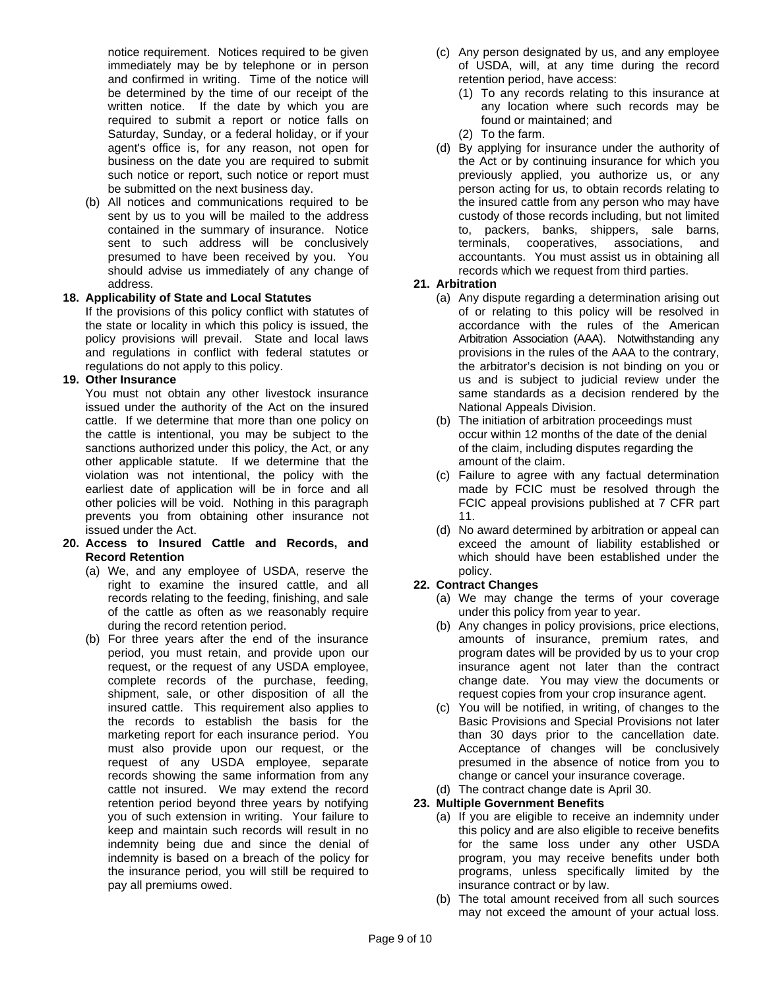notice requirement. Notices required to be given immediately may be by telephone or in person and confirmed in writing. Time of the notice will be determined by the time of our receipt of the written notice. If the date by which you are required to submit a report or notice falls on Saturday, Sunday, or a federal holiday, or if your agent's office is, for any reason, not open for business on the date you are required to submit such notice or report, such notice or report must be submitted on the next business day.

(b) All notices and communications required to be sent by us to you will be mailed to the address contained in the summary of insurance. Notice sent to such address will be conclusively presumed to have been received by you. You should advise us immediately of any change of address.

# **18. Applicability of State and Local Statutes**

If the provisions of this policy conflict with statutes of the state or locality in which this policy is issued, the policy provisions will prevail. State and local laws and regulations in conflict with federal statutes or regulations do not apply to this policy.

# **19. Other Insurance**

You must not obtain any other livestock insurance issued under the authority of the Act on the insured cattle. If we determine that more than one policy on the cattle is intentional, you may be subject to the sanctions authorized under this policy, the Act, or any other applicable statute. If we determine that the violation was not intentional, the policy with the earliest date of application will be in force and all other policies will be void. Nothing in this paragraph prevents you from obtaining other insurance not issued under the Act.

- **20. Access to Insured Cattle and Records, and Record Retention** 
	- (a) We, and any employee of USDA, reserve the right to examine the insured cattle, and all records relating to the feeding, finishing, and sale of the cattle as often as we reasonably require during the record retention period.
	- (b) For three years after the end of the insurance period, you must retain, and provide upon our request, or the request of any USDA employee, complete records of the purchase, feeding, shipment, sale, or other disposition of all the insured cattle. This requirement also applies to the records to establish the basis for the marketing report for each insurance period. You must also provide upon our request, or the request of any USDA employee, separate records showing the same information from any cattle not insured. We may extend the record retention period beyond three years by notifying you of such extension in writing. Your failure to keep and maintain such records will result in no indemnity being due and since the denial of indemnity is based on a breach of the policy for the insurance period, you will still be required to pay all premiums owed.
- (c) Any person designated by us, and any employee of USDA, will, at any time during the record retention period, have access:
	- (1) To any records relating to this insurance at any location where such records may be found or maintained; and
	- (2) To the farm.
- (d) By applying for insurance under the authority of the Act or by continuing insurance for which you previously applied, you authorize us, or any person acting for us, to obtain records relating to the insured cattle from any person who may have custody of those records including, but not limited to, packers, banks, shippers, sale barns, terminals, cooperatives, associations, and accountants. You must assist us in obtaining all records which we request from third parties.

# **21. Arbitration**

- Arbitration Association (AAA). Notwithstanding any (a) Any dispute regarding a determination arising out of or relating to this policy will be resolved in accordance with the rules of the American provisions in the rules of the AAA to the contrary, the arbitrator's decision is not binding on you or us and is subject to judicial review under the same standards as a decision rendered by the National Appeals Division.
- (b) The initiation of arbitration proceedings must occur within 12 months of the date of the denial of the claim, including disputes regarding the amount of the claim.
- (c) Failure to agree with any factual determination made by FCIC must be resolved through the FCIC appeal provisions published at 7 CFR part 11.
- (d) No award determined by arbitration or appeal can exceed the amount of liability established or which should have been established under the policy.

# **22. Contract Changes**

- (a) We may change the terms of your coverage under this policy from year to year.
- (b) Any changes in policy provisions, price elections, amounts of insurance, premium rates, and program dates will be provided by us to your crop insurance agent not later than the contract change date. You may view the documents or request copies from your crop insurance agent.
- (c) You will be notified, in writing, of changes to the Basic Provisions and Special Provisions not later than 30 days prior to the cancellation date. Acceptance of changes will be conclusively presumed in the absence of notice from you to change or cancel your insurance coverage.
- (d) The contract change date is April 30.

# **23. Multiple Government Benefits**

- (a) If you are eligible to receive an indemnity under this policy and are also eligible to receive benefits for the same loss under any other USDA program, you may receive benefits under both programs, unless specifically limited by the insurance contract or by law.
- (b) The total amount received from all such sources may not exceed the amount of your actual loss.